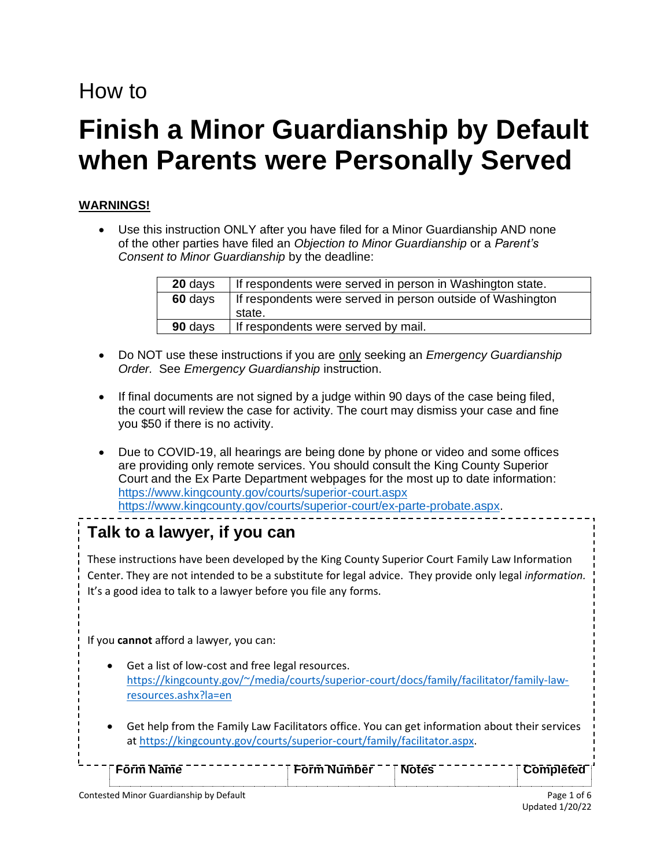# How to

# **Finish a Minor Guardianship by Default when Parents were Personally Served**

# **WARNINGS!**

• Use this instruction ONLY after you have filed for a Minor Guardianship AND none of the other parties have filed an *Objection to Minor Guardianship* or a *Parent's Consent to Minor Guardianship* by the deadline:

| 20 days | If respondents were served in person in Washington state.  |
|---------|------------------------------------------------------------|
| 60 days | If respondents were served in person outside of Washington |
|         | state.                                                     |
| 90 days | If respondents were served by mail.                        |

- Do NOT use these instructions if you are only seeking an *Emergency Guardianship Order.* See *Emergency Guardianship* instruction.
- If final documents are not signed by a judge within 90 days of the case being filed, the court will review the case for activity. The court may dismiss your case and fine you \$50 if there is no activity.
- Due to COVID-19, all hearings are being done by phone or video and some offices are providing only remote services. You should consult the King County Superior Court and the Ex Parte Department webpages for the most up to date information: <https://www.kingcounty.gov/courts/superior-court.aspx> [https://www.kingcounty.gov/courts/superior-court/ex-parte-probate.aspx.](https://www.kingcounty.gov/courts/superior-court/ex-parte-probate.aspx)

# **Talk to a lawyer, if you can**

These instructions have been developed by the King County Superior Court Family Law Information Center. They are not intended to be a substitute for legal advice. They provide only legal *information.*  It's a good idea to talk to a lawyer before you file any forms.

If you **cannot** afford a lawyer, you can:

- Get a list of low-cost and free legal resources. [https://kingcounty.gov/~/media/courts/superior-court/docs/family/facilitator/family-law](https://kingcounty.gov/~/media/courts/superior-court/docs/family/facilitator/family-law-resources.ashx?la=en)[resources.ashx?la=en](https://kingcounty.gov/~/media/courts/superior-court/docs/family/facilitator/family-law-resources.ashx?la=en)
- **■** Get help from the Family Law Facilitators office. You can get information about their services at [https://kingcounty.gov/courts/superior-court/family/facilitator.aspx.](https://kingcounty.gov/courts/superior-court/family/facilitator.aspx)

| $\overline{\phantom{a}}$                                 | n <sub>er</sub><br>$ -$ |                 |
|----------------------------------------------------------|-------------------------|-----------------|
|                                                          |                         |                 |
| Constructed Matricia Constitution and the Bank Conductor |                         | $P - - -$<br>-- |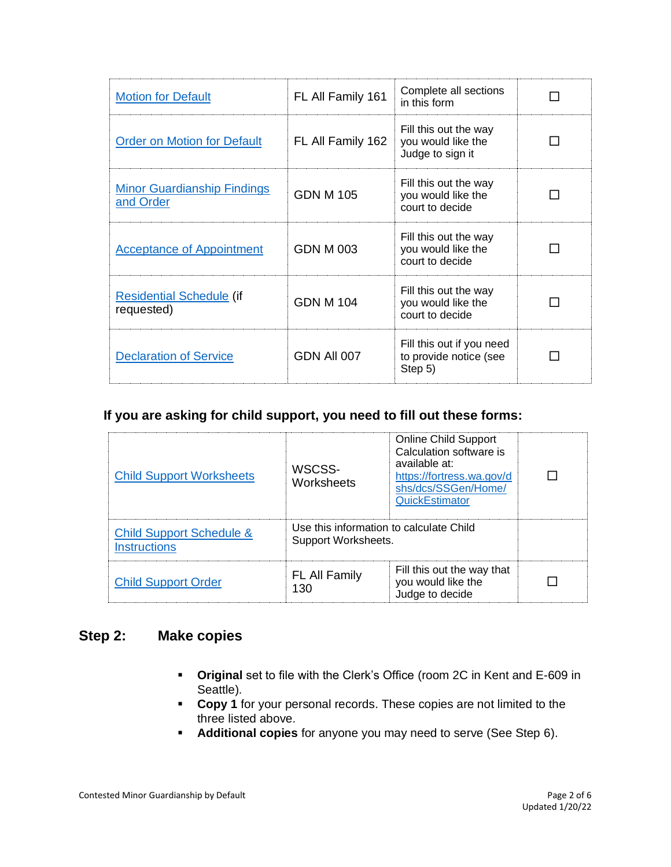| <b>Motion for Default</b>                       | FL All Family 161 | Complete all sections<br>in this form                           |  |
|-------------------------------------------------|-------------------|-----------------------------------------------------------------|--|
| <b>Order on Motion for Default</b>              | FL All Family 162 | Fill this out the way<br>you would like the<br>Judge to sign it |  |
| <b>Minor Guardianship Findings</b><br>and Order | <b>GDN M 105</b>  | Fill this out the way<br>you would like the<br>court to decide  |  |
| <b>Acceptance of Appointment</b>                | GDN M 003         | Fill this out the way<br>you would like the<br>court to decide  |  |
| <b>Residential Schedule (if</b><br>requested)   | GDN M 104         | Fill this out the way<br>you would like the<br>court to decide  |  |
| <b>Declaration of Service</b>                   | GDN All 007       | Fill this out if you need<br>to provide notice (see<br>Step 5)  |  |

#### **If you are asking for child support, you need to fill out these forms:**

| <b>Child Support Worksheets</b>                            | WSCSS-<br>Worksheets                                           | <b>Online Child Support</b><br>Calculation software is<br>available at:<br>https://fortress.wa.gov/d<br>shs/dcs/SSGen/Home/<br><b>QuickEstimator</b> |  |
|------------------------------------------------------------|----------------------------------------------------------------|------------------------------------------------------------------------------------------------------------------------------------------------------|--|
| <b>Child Support Schedule &amp;</b><br><b>Instructions</b> | Use this information to calculate Child<br>Support Worksheets. |                                                                                                                                                      |  |
| <b>Child Support Order</b>                                 | FL All Family<br>130                                           | Fill this out the way that<br>you would like the<br>Judge to decide                                                                                  |  |

# **Step 2: Make copies**

- **Original** set to file with the Clerk's Office (room 2C in Kent and E-609 in Seattle)*.*
- **Copy 1** for your personal records. These copies are not limited to the three listed above.
- **Additional copies** for anyone you may need to serve (See Step 6).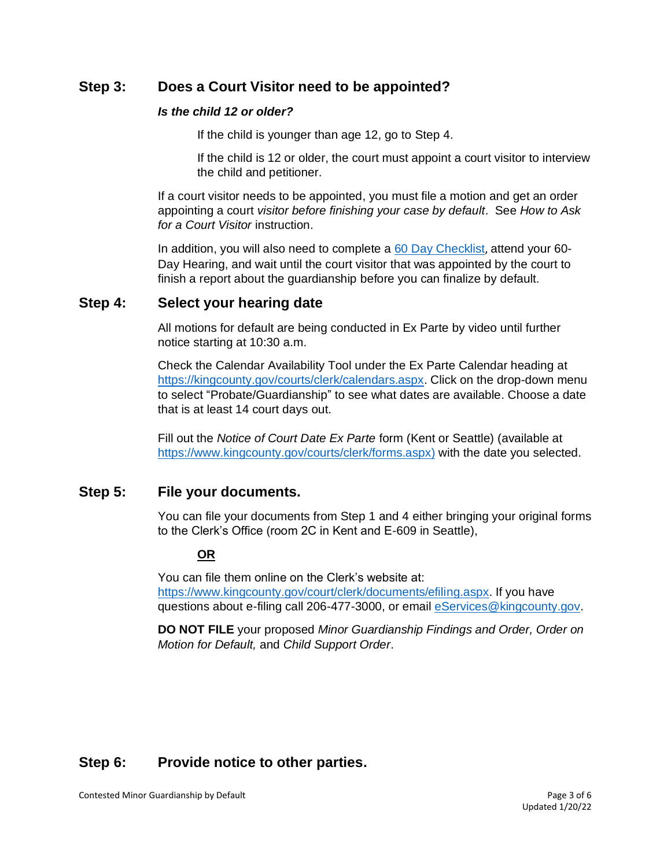# **Step 3: Does a Court Visitor need to be appointed?**

#### *Is the child 12 or older?*

If the child is younger than age 12, go to Step 4.

If the child is 12 or older, the court must appoint a court visitor to interview the child and petitioner.

If a court visitor needs to be appointed, you must file a motion and get an order appointing a court *visitor before finishing your case by default*. See *How to Ask for a Court Visitor* instruction.

In addition, you will also need to complete a [60 Day Checklist](https://kingcounty.gov/~/media/courts/Clerk/forms/60-day-checklist.ashx?la=en), attend your 60- Day Hearing, and wait until the court visitor that was appointed by the court to finish a report about the guardianship before you can finalize by default.

## **Step 4: Select your hearing date**

All motions for default are being conducted in Ex Parte by video until further notice starting at 10:30 a.m.

Check the Calendar Availability Tool under the Ex Parte Calendar heading at [https://kingcounty.gov/courts/clerk/calendars.aspx.](https://kingcounty.gov/courts/clerk/calendars.aspx) Click on the drop-down menu to select "Probate/Guardianship" to see what dates are available. Choose a date that is at least 14 court days out.

Fill out the *Notice of Court Date Ex Parte* form (Kent or Seattle) (available at [https://www.kingcounty.gov/courts/clerk/forms.aspx\)](https://www.kingcounty.gov/courts/clerk/forms.aspx) with the date you selected.

## **Step 5: File your documents.**

You can file your documents from Step 1 and 4 either bringing your original forms to the Clerk's Office (room 2C in Kent and E-609 in Seattle),

#### **OR**

You can file them online on the Clerk's website at: [https://www.kingcounty.gov/court/clerk/documents/efiling.aspx.](https://www.kingcounty.gov/court/clerk/documents/efiling.aspx) If you have questions about e-filing call 206-477-3000, or email [eServices@kingcounty.gov.](mailto:eServices@kingcounty.gov)

**DO NOT FILE** your proposed *Minor Guardianship Findings and Order, Order on Motion for Default,* and *Child Support Order*.

# **Step 6: Provide notice to other parties.**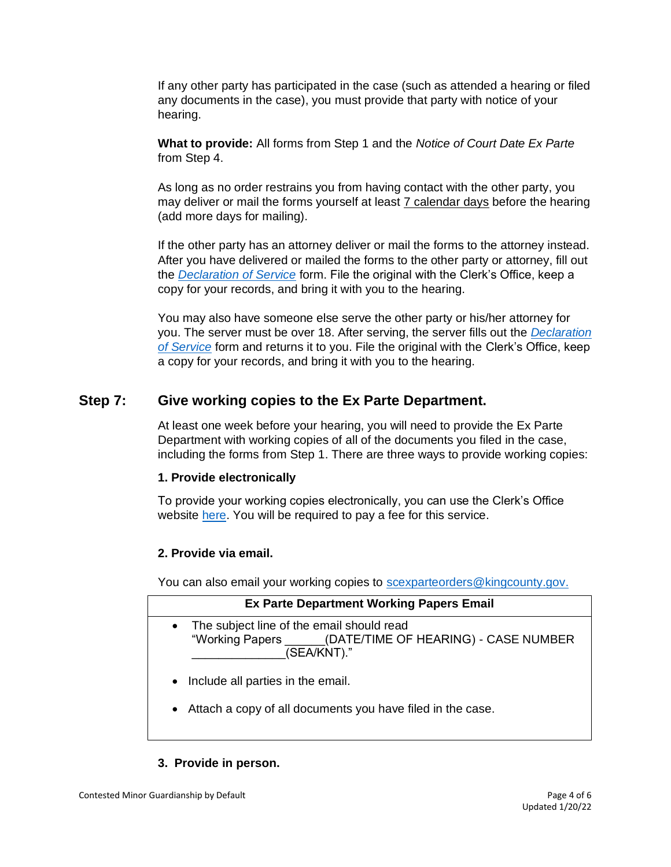If any other party has participated in the case (such as attended a hearing or filed any documents in the case), you must provide that party with notice of your hearing.

**What to provide:** All forms from Step 1 and the *Notice of Court Date Ex Parte*  from Step 4.

As long as no order restrains you from having contact with the other party, you may deliver or mail the forms yourself at least 7 calendar days before the hearing (add more days for mailing).

If the other party has an attorney deliver or mail the forms to the attorney instead. After you have delivered or mailed the forms to the other party or attorney, fill out the *[Declaration of Service](https://www.courts.wa.gov/forms/documents/GDN%2004%200850%20Decl%20of%20Service%202018%2010.doc)* form. File the original with the Clerk's Office, keep a copy for your records, and bring it with you to the hearing.

You may also have someone else serve the other party or his/her attorney for you. The server must be over 18. After serving, the server fills out the *[Declaration](https://www.courts.wa.gov/forms/documents/GDN%2004%200850%20Decl%20of%20Service%202018%2010.doc)  [of Service](https://www.courts.wa.gov/forms/documents/GDN%2004%200850%20Decl%20of%20Service%202018%2010.doc)* form and returns it to you. File the original with the Clerk's Office, keep a copy for your records, and bring it with you to the hearing.

# **Step 7: Give working copies to the Ex Parte Department.**

At least one week before your hearing, you will need to provide the Ex Parte Department with working copies of all of the documents you filed in the case, including the forms from Step 1. There are three ways to provide working copies:

#### **1. Provide electronically**

To provide your working copies electronically, you can use the Clerk's Office website [here.](https://kingcounty.gov/courts/clerk/documents/eWC.aspx) You will be required to pay a fee for this service.

#### **2. Provide via email.**

You can also email your working copies to [scexparteorders@kingcounty.gov.](mailto:scexparteorders@kingcounty.gov)

| <b>Ex Parte Department Working Papers Email</b>                                                                               |  |
|-------------------------------------------------------------------------------------------------------------------------------|--|
| The subject line of the email should read<br>$\bullet$<br>"Working Papers (DATE/TIME OF HEARING) - CASE NUMBER<br>(SEA/KNT)." |  |
| • Include all parties in the email.                                                                                           |  |
|                                                                                                                               |  |

• Attach a copy of all documents you have filed in the case.

#### **3. Provide in person.**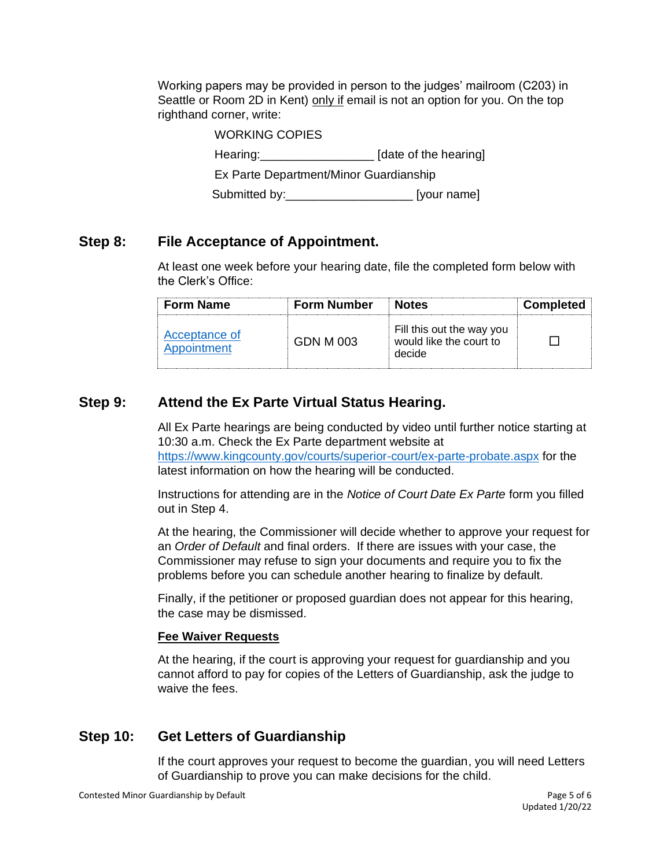Working papers may be provided in person to the judges' mailroom (C203) in Seattle or Room 2D in Kent) only if email is not an option for you. On the top righthand corner, write:

> WORKING COPIES Hearing: Mearing: Mearing and Mearing and Mearing and Mearing and Mearing and Mearing and Mearing and Mearing and Mearing and Mearing and Mearing and Mearing and Mearing and Mearing and Mearing and Mearing and Mearing and Ex Parte Department/Minor Guardianship Submitted by: example and submitted by:

# **Step 8: File Acceptance of Appointment.**

At least one week before your hearing date, file the completed form below with the Clerk's Office:

| <b>Form Name</b>             | <b>Form Number</b> | <b>Notes</b>                                                   | <b>Completed</b> |
|------------------------------|--------------------|----------------------------------------------------------------|------------------|
| Acceptance of<br>Appointment | GDN M 003          | Fill this out the way you<br>would like the court to<br>decide |                  |

# **Step 9: Attend the Ex Parte Virtual Status Hearing.**

All Ex Parte hearings are being conducted by video until further notice starting at 10:30 a.m. Check the Ex Parte department website at <https://www.kingcounty.gov/courts/superior-court/ex-parte-probate.aspx> for the latest information on how the hearing will be conducted.

Instructions for attending are in the *Notice of Court Date Ex Parte* form you filled out in Step 4.

At the hearing, the Commissioner will decide whether to approve your request for an *Order of Default* and final orders. If there are issues with your case, the Commissioner may refuse to sign your documents and require you to fix the problems before you can schedule another hearing to finalize by default.

Finally, if the petitioner or proposed guardian does not appear for this hearing, the case may be dismissed.

#### **Fee Waiver Requests**

At the hearing, if the court is approving your request for guardianship and you cannot afford to pay for copies of the Letters of Guardianship, ask the judge to waive the fees.

# **Step 10: Get Letters of Guardianship**

If the court approves your request to become the guardian, you will need Letters of Guardianship to prove you can make decisions for the child.